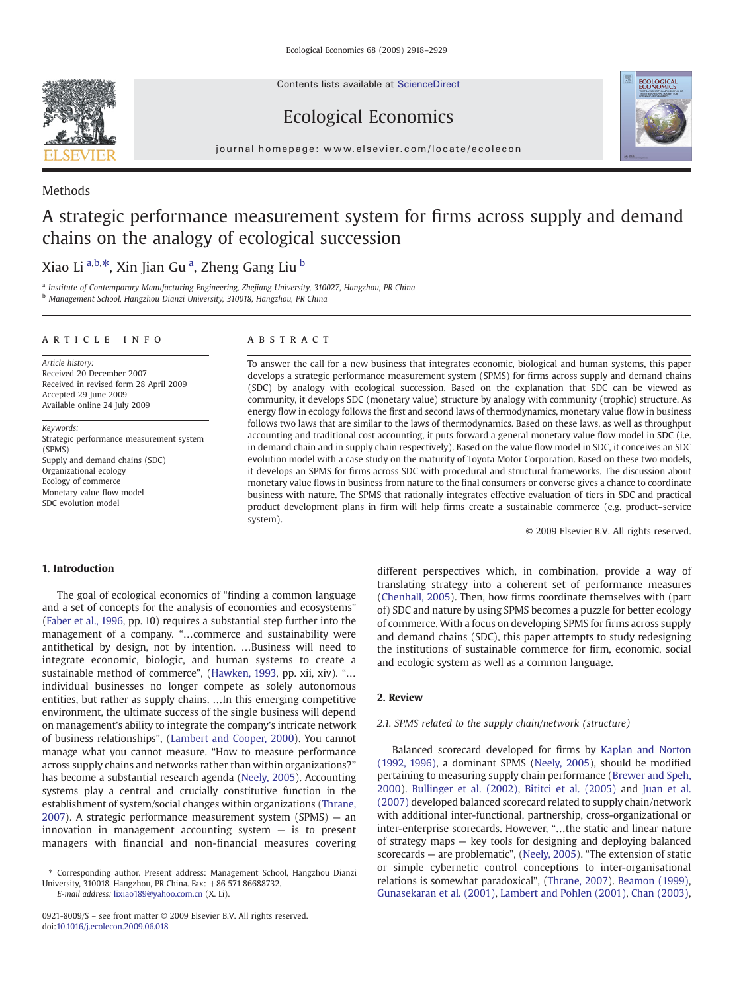Contents lists available at ScienceDirect



Ecological Economics



journal homepage: www.elsevier.com/locate/ecolecon  $j$  o u r n a l  $j$  of  $\alpha$  is even  $\alpha$  that is even in a transmission of  $\alpha$ 

### Methods

## A strategic performance measurement system for firms across supply and demand chains on the analogy of ecological succession

Xiao Li <sup>a,b,\*</sup>, Xin Jian Gu <sup>a</sup>, Zheng Gang Liu <sup>b</sup>

<sup>a</sup> Institute of Contemporary Manufacturing Engineering, Zhejiang University, 310027, Hangzhou, PR China

<sup>b</sup> Management School, Hangzhou Dianzi University, 310018, Hangzhou, PR China

#### ARTICLE INFO ABSTRACT

Article history: Received 20 December 2007 Received in revised form 28 April 2009 Accepted 29 June 2009 Available online 24 July 2009

Keywords: Strategic performance measurement system (SPMS) Supply and demand chains (SDC) Organizational ecology Ecology of commerce Monetary value flow model SDC evolution model

To answer the call for a new business that integrates economic, biological and human systems, this paper develops a strategic performance measurement system (SPMS) for firms across supply and demand chains (SDC) by analogy with ecological succession. Based on the explanation that SDC can be viewed as community, it develops SDC (monetary value) structure by analogy with community (trophic) structure. As energy flow in ecology follows the first and second laws of thermodynamics, monetary value flow in business follows two laws that are similar to the laws of thermodynamics. Based on these laws, as well as throughput accounting and traditional cost accounting, it puts forward a general monetary value flow model in SDC (i.e. in demand chain and in supply chain respectively). Based on the value flow model in SDC, it conceives an SDC evolution model with a case study on the maturity of Toyota Motor Corporation. Based on these two models, it develops an SPMS for firms across SDC with procedural and structural frameworks. The discussion about monetary value flows in business from nature to the final consumers or converse gives a chance to coordinate business with nature. The SPMS that rationally integrates effective evaluation of tiers in SDC and practical product development plans in firm will help firms create a sustainable commerce (e.g. product–service system).

© 2009 Elsevier B.V. All rights reserved.

#### 1. Introduction

The goal of ecological economics of "finding a common language and a set of concepts for the analysis of economies and ecosystems" [\(Faber et al., 1996](#page--1-0), pp. 10) requires a substantial step further into the management of a company. "…commerce and sustainability were antithetical by design, not by intention. …Business will need to integrate economic, biologic, and human systems to create a sustainable method of commerce", ([Hawken, 1993,](#page--1-0) pp. xii, xiv). "… individual businesses no longer compete as solely autonomous entities, but rather as supply chains. …In this emerging competitive environment, the ultimate success of the single business will depend on management's ability to integrate the company's intricate network of business relationships", ([Lambert and Cooper, 2000](#page--1-0)). You cannot manage what you cannot measure. "How to measure performance across supply chains and networks rather than within organizations?" has become a substantial research agenda [\(Neely, 2005](#page--1-0)). Accounting systems play a central and crucially constitutive function in the establishment of system/social changes within organizations ([Thrane,](#page--1-0) [2007](#page--1-0)). A strategic performance measurement system (SPMS) — an innovation in management accounting system  $-$  is to present managers with financial and non-financial measures covering

E-mail address: [lixiao189@yahoo.com.cn](mailto:lixiao189@yahoo.com.cn) (X. Li).

different perspectives which, in combination, provide a way of translating strategy into a coherent set of performance measures [\(Chenhall, 2005](#page--1-0)). Then, how firms coordinate themselves with (part of) SDC and nature by using SPMS becomes a puzzle for better ecology of commerce. With a focus on developing SPMS for firms across supply and demand chains (SDC), this paper attempts to study redesigning the institutions of sustainable commerce for firm, economic, social and ecologic system as well as a common language.

#### 2. Review

#### 2.1. SPMS related to the supply chain/network (structure)

Balanced scorecard developed for firms by [Kaplan and Norton](#page--1-0) [\(1992, 1996\),](#page--1-0) a dominant SPMS ([Neely, 2005](#page--1-0)), should be modified pertaining to measuring supply chain performance ([Brewer and Speh,](#page--1-0) [2000](#page--1-0)). [Bullinger et al. \(2002\)](#page--1-0), [Bititci et al. \(2005\)](#page--1-0) and [Juan et al.](#page--1-0) [\(2007\)](#page--1-0) developed balanced scorecard related to supply chain/network with additional inter-functional, partnership, cross-organizational or inter-enterprise scorecards. However, "…the static and linear nature of strategy maps — key tools for designing and deploying balanced scorecards — are problematic", [\(Neely, 2005\)](#page--1-0). "The extension of static or simple cybernetic control conceptions to inter-organisational relations is somewhat paradoxical", [\(Thrane, 2007](#page--1-0)). [Beamon \(1999\),](#page--1-0) [Gunasekaran et al. \(2001\)](#page--1-0), [Lambert and Pohlen \(2001\),](#page--1-0) [Chan \(2003\),](#page--1-0)

<sup>⁎</sup> Corresponding author. Present address: Management School, Hangzhou Dianzi University, 310018, Hangzhou, PR China. Fax: +86 571 86688732.

<sup>0921-8009/\$</sup> – see front matter © 2009 Elsevier B.V. All rights reserved. doi[:10.1016/j.ecolecon.2009.06.018](http://dx.doi.org/10.1016/j.ecolecon.2009.06.018)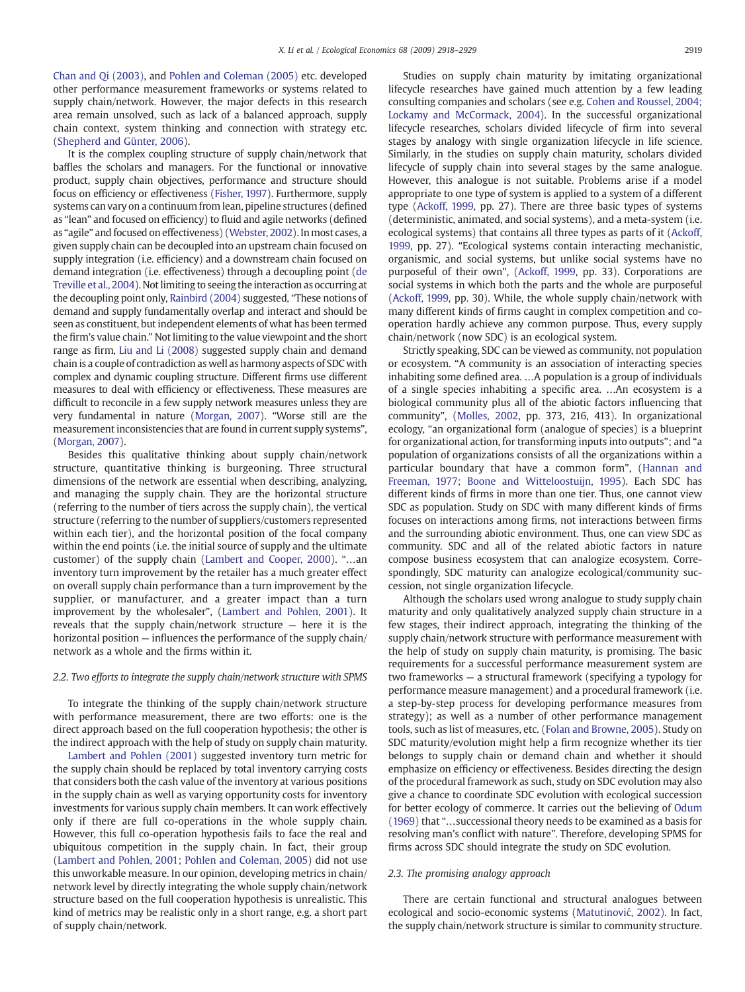[Chan and Qi \(2003\)](#page--1-0), and [Pohlen and Coleman \(2005\)](#page--1-0) etc. developed other performance measurement frameworks or systems related to supply chain/network. However, the major defects in this research area remain unsolved, such as lack of a balanced approach, supply chain context, system thinking and connection with strategy etc. [\(Shepherd and Günter, 2006\)](#page--1-0).

It is the complex coupling structure of supply chain/network that baffles the scholars and managers. For the functional or innovative product, supply chain objectives, performance and structure should focus on efficiency or effectiveness ([Fisher, 1997](#page--1-0)). Furthermore, supply systems can vary on a continuum from lean, pipeline structures (defined as "lean" and focused on efficiency) to fluid and agile networks (defined as "agile" and focused on effectiveness) [\(Webster, 2002\)](#page--1-0). In most cases, a given supply chain can be decoupled into an upstream chain focused on supply integration (i.e. efficiency) and a downstream chain focused on demand integration (i.e. effectiveness) through a decoupling point ([de](#page--1-0) [Treville et al., 2004\)](#page--1-0). Not limiting to seeing the interaction as occurring at the decoupling point only, [Rainbird \(2004\)](#page--1-0) suggested, "These notions of demand and supply fundamentally overlap and interact and should be seen as constituent, but independent elements of what has been termed the firm's value chain." Not limiting to the value viewpoint and the short range as firm, [Liu and Li \(2008\)](#page--1-0) suggested supply chain and demand chain is a couple of contradiction as well as harmony aspects of SDC with complex and dynamic coupling structure. Different firms use different measures to deal with efficiency or effectiveness. These measures are difficult to reconcile in a few supply network measures unless they are very fundamental in nature ([Morgan, 2007\)](#page--1-0). "Worse still are the measurement inconsistencies that are found in current supply systems", [\(Morgan, 2007\)](#page--1-0).

Besides this qualitative thinking about supply chain/network structure, quantitative thinking is burgeoning. Three structural dimensions of the network are essential when describing, analyzing, and managing the supply chain. They are the horizontal structure (referring to the number of tiers across the supply chain), the vertical structure (referring to the number of suppliers/customers represented within each tier), and the horizontal position of the focal company within the end points (i.e. the initial source of supply and the ultimate customer) of the supply chain [\(Lambert and Cooper, 2000](#page--1-0)). "…an inventory turn improvement by the retailer has a much greater effect on overall supply chain performance than a turn improvement by the supplier, or manufacturer, and a greater impact than a turn improvement by the wholesaler", ([Lambert and Pohlen, 2001\)](#page--1-0). It reveals that the supply chain/network structure — here it is the horizontal position — influences the performance of the supply chain/ network as a whole and the firms within it.

#### 2.2. Two efforts to integrate the supply chain/network structure with SPMS

To integrate the thinking of the supply chain/network structure with performance measurement, there are two efforts: one is the direct approach based on the full cooperation hypothesis; the other is the indirect approach with the help of study on supply chain maturity.

[Lambert and Pohlen \(2001\)](#page--1-0) suggested inventory turn metric for the supply chain should be replaced by total inventory carrying costs that considers both the cash value of the inventory at various positions in the supply chain as well as varying opportunity costs for inventory investments for various supply chain members. It can work effectively only if there are full co-operations in the whole supply chain. However, this full co-operation hypothesis fails to face the real and ubiquitous competition in the supply chain. In fact, their group [\(Lambert and Pohlen, 2001; Pohlen and Coleman, 2005](#page--1-0)) did not use this unworkable measure. In our opinion, developing metrics in chain/ network level by directly integrating the whole supply chain/network structure based on the full cooperation hypothesis is unrealistic. This kind of metrics may be realistic only in a short range, e.g. a short part of supply chain/network.

Studies on supply chain maturity by imitating organizational lifecycle researches have gained much attention by a few leading consulting companies and scholars (see e.g. [Cohen and Roussel, 2004;](#page--1-0) [Lockamy and McCormack, 2004\)](#page--1-0). In the successful organizational lifecycle researches, scholars divided lifecycle of firm into several stages by analogy with single organization lifecycle in life science. Similarly, in the studies on supply chain maturity, scholars divided lifecycle of supply chain into several stages by the same analogue. However, this analogue is not suitable. Problems arise if a model appropriate to one type of system is applied to a system of a different type ([Ackoff, 1999,](#page--1-0) pp. 27). There are three basic types of systems (deterministic, animated, and social systems), and a meta-system (i.e. ecological systems) that contains all three types as parts of it ([Ackoff,](#page--1-0) [1999](#page--1-0), pp. 27). "Ecological systems contain interacting mechanistic, organismic, and social systems, but unlike social systems have no purposeful of their own", ([Ackoff, 1999](#page--1-0), pp. 33). Corporations are social systems in which both the parts and the whole are purposeful [\(Ackoff, 1999,](#page--1-0) pp. 30). While, the whole supply chain/network with many different kinds of firms caught in complex competition and cooperation hardly achieve any common purpose. Thus, every supply chain/network (now SDC) is an ecological system.

Strictly speaking, SDC can be viewed as community, not population or ecosystem. "A community is an association of interacting species inhabiting some defined area. …A population is a group of individuals of a single species inhabiting a specific area. …An ecosystem is a biological community plus all of the abiotic factors influencing that community", ([Molles, 2002](#page--1-0), pp. 373, 216, 413). In organizational ecology, "an organizational form (analogue of species) is a blueprint for organizational action, for transforming inputs into outputs"; and "a population of organizations consists of all the organizations within a particular boundary that have a common form", ([Hannan and](#page--1-0) [Freeman, 1977; Boone and Witteloostuijn, 1995\)](#page--1-0). Each SDC has different kinds of firms in more than one tier. Thus, one cannot view SDC as population. Study on SDC with many different kinds of firms focuses on interactions among firms, not interactions between firms and the surrounding abiotic environment. Thus, one can view SDC as community. SDC and all of the related abiotic factors in nature compose business ecosystem that can analogize ecosystem. Correspondingly, SDC maturity can analogize ecological/community succession, not single organization lifecycle.

Although the scholars used wrong analogue to study supply chain maturity and only qualitatively analyzed supply chain structure in a few stages, their indirect approach, integrating the thinking of the supply chain/network structure with performance measurement with the help of study on supply chain maturity, is promising. The basic requirements for a successful performance measurement system are two frameworks — a structural framework (specifying a typology for performance measure management) and a procedural framework (i.e. a step-by-step process for developing performance measures from strategy); as well as a number of other performance management tools, such as list of measures, etc. [\(Folan and Browne, 2005\)](#page--1-0). Study on SDC maturity/evolution might help a firm recognize whether its tier belongs to supply chain or demand chain and whether it should emphasize on efficiency or effectiveness. Besides directing the design of the procedural framework as such, study on SDC evolution may also give a chance to coordinate SDC evolution with ecological succession for better ecology of commerce. It carries out the believing of [Odum](#page--1-0) [\(1969\)](#page--1-0) that "…successional theory needs to be examined as a basis for resolving man's conflict with nature". Therefore, developing SPMS for firms across SDC should integrate the study on SDC evolution.

#### 2.3. The promising analogy approach

There are certain functional and structural analogues between ecological and socio-economic systems ([Matutinovi](#page--1-0)ć, 2002). In fact, the supply chain/network structure is similar to community structure.